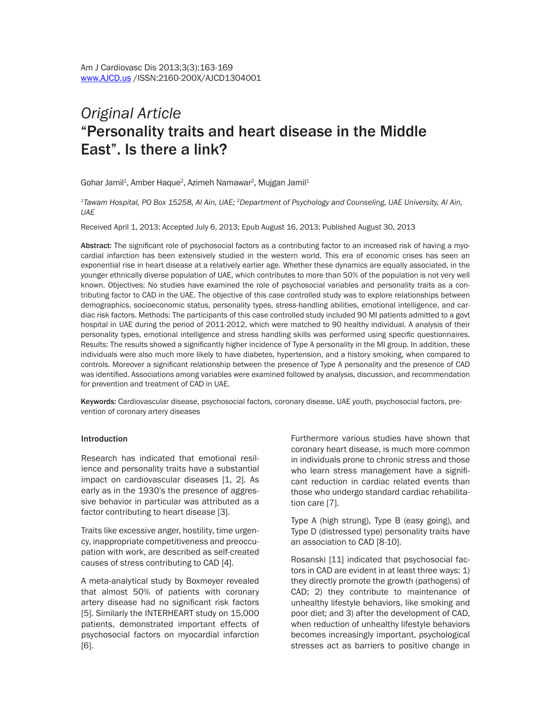# *Original Article* "Personality traits and heart disease in the Middle East". Is there a link?

Gohar Jamil<sup>1</sup>, Amber Haque<sup>2</sup>, Azimeh Namawar<sup>2</sup>, Mujgan Jamil<sup>1</sup>

*1Tawam Hospital, PO Box 15258, Al Ain, UAE; 2Department of Psychology and Counseling, UAE University, Al Ain, UAE*

Received April 1, 2013; Accepted July 6, 2013; Epub August 16, 2013; Published August 30, 2013

Abstract: The significant role of psychosocial factors as a contributing factor to an increased risk of having a myocardial infarction has been extensively studied in the western world. This era of economic crises has seen an exponential rise in heart disease at a relatively earlier age. Whether these dynamics are equally associated, in the younger ethnically diverse population of UAE, which contributes to more than 50% of the population is not very well known. Objectives: No studies have examined the role of psychosocial variables and personality traits as a contributing factor to CAD in the UAE. The objective of this case controlled study was to explore relationships between demographics, socioeconomic status, personality types, stress-handling abilities, emotional intelligence, and cardiac risk factors. Methods: The participants of this case controlled study included 90 MI patients admitted to a govt hospital in UAE during the period of 2011-2012, which were matched to 90 healthy individual. A analysis of their personality types, emotional intelligence and stress handling skills was performed using specific questionnaires. Results: The results showed a significantly higher incidence of Type A personality in the MI group. In addition, these individuals were also much more likely to have diabetes, hypertension, and a history smoking, when compared to controls. Moreover a significant relationship between the presence of Type A personality and the presence of CAD was identified. Associations among variables were examined followed by analysis, discussion, and recommendation for prevention and treatment of CAD in UAE.

Keywords: Cardiovascular disease, psychosocial factors, coronary disease, UAE youth, psychosocial factors, prevention of coronary artery diseases

#### Introduction

Research has indicated that emotional resilience and personality traits have a substantial impact on cardiovascular diseases [1, 2]. As early as in the 1930's the presence of aggressive behavior in particular was attributed as a factor contributing to heart disease [3].

Traits like excessive anger, hostility, time urgency, inappropriate competitiveness and preoccupation with work, are described as self-created causes of stress contributing to CAD [4].

A meta-analytical study by Boxmeyer revealed that almost 50% of patients with coronary artery disease had no significant risk factors [5]. Similarly the INTERHEART study on 15,000 patients, demonstrated important effects of psychosocial factors on myocardial infarction [6].

Furthermore various studies have shown that coronary heart disease, is much more common in individuals prone to chronic stress and those who learn stress management have a significant reduction in cardiac related events than those who undergo standard cardiac rehabilitation care [7].

Type A (high strung), Type B (easy going), and Type D (distressed type) personality traits have an association to CAD [8-10].

Rosanski [11] indicated that psychosocial factors in CAD are evident in at least three ways: 1) they directly promote the growth (pathogens) of CAD; 2) they contribute to maintenance of unhealthy lifestyle behaviors, like smoking and poor diet; and 3) after the development of CAD, when reduction of unhealthy lifestyle behaviors becomes increasingly important, psychological stresses act as barriers to positive change in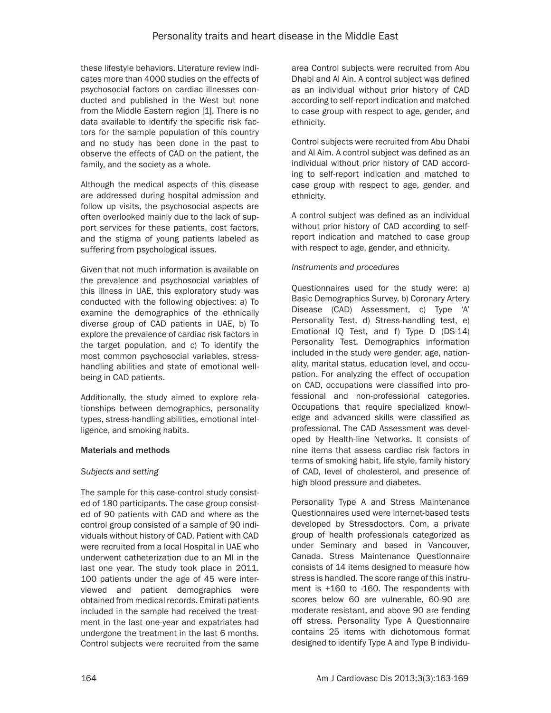these lifestyle behaviors. Literature review indicates more than 4000 studies on the effects of psychosocial factors on cardiac illnesses conducted and published in the West but none from the Middle Eastern region [1]. There is no data available to identify the specific risk factors for the sample population of this country and no study has been done in the past to observe the effects of CAD on the patient, the family, and the society as a whole.

Although the medical aspects of this disease are addressed during hospital admission and follow up visits, the psychosocial aspects are often overlooked mainly due to the lack of support services for these patients, cost factors, and the stigma of young patients labeled as suffering from psychological issues.

Given that not much information is available on the prevalence and psychosocial variables of this illness in UAE, this exploratory study was conducted with the following objectives: a) To examine the demographics of the ethnically diverse group of CAD patients in UAE, b) To explore the prevalence of cardiac risk factors in the target population, and c) To identify the most common psychosocial variables, stresshandling abilities and state of emotional wellbeing in CAD patients.

Additionally, the study aimed to explore relationships between demographics, personality types, stress-handling abilities, emotional intelligence, and smoking habits.

#### Materials and methods

# *Subjects and setting*

The sample for this case-control study consisted of 180 participants. The case group consisted of 90 patients with CAD and where as the control group consisted of a sample of 90 individuals without history of CAD. Patient with CAD were recruited from a local Hospital in UAE who underwent catheterization due to an MI in the last one year. The study took place in 2011. 100 patients under the age of 45 were interviewed and patient demographics were obtained from medical records. Emirati patients included in the sample had received the treatment in the last one-year and expatriates had undergone the treatment in the last 6 months. Control subjects were recruited from the same

area Control subjects were recruited from Abu Dhabi and Al Ain. A control subject was defined as an individual without prior history of CAD according to self-report indication and matched to case group with respect to age, gender, and ethnicity.

Control subjects were recruited from Abu Dhabi and Al Aim. A control subject was defined as an individual without prior history of CAD according to self-report indication and matched to case group with respect to age, gender, and ethnicity.

A control subject was defined as an individual without prior history of CAD according to selfreport indication and matched to case group with respect to age, gender, and ethnicity.

### *Instruments and procedures*

Questionnaires used for the study were: a) Basic Demographics Survey, b) Coronary Artery Disease (CAD) Assessment, c) Type 'A' Personality Test, d) Stress-handling test, e) Emotional IQ Test, and f) Type D (DS-14) Personality Test. Demographics information included in the study were gender, age, nationality, marital status, education level, and occupation. For analyzing the effect of occupation on CAD, occupations were classified into professional and non-professional categories. Occupations that require specialized knowledge and advanced skills were classified as professional. The CAD Assessment was developed by Health-line Networks. It consists of nine items that assess cardiac risk factors in terms of smoking habit, life style, family history of CAD, level of cholesterol, and presence of high blood pressure and diabetes.

Personality Type A and Stress Maintenance Questionnaires used were internet-based tests developed by Stressdoctors. Com, a private group of health professionals categorized as under Seminary and based in Vancouver, Canada. Stress Maintenance Questionnaire consists of 14 items designed to measure how stress is handled. The score range of this instrument is +160 to -160. The respondents with scores below 60 are vulnerable, 60-90 are moderate resistant, and above 90 are fending off stress. Personality Type A Questionnaire contains 25 items with dichotomous format designed to identify Type A and Type B individu-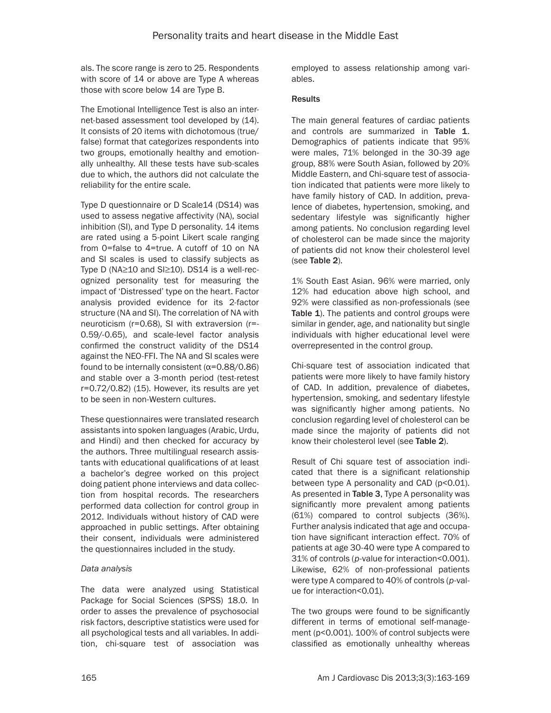als. The score range is zero to 25. Respondents with score of 14 or above are Type A whereas those with score below 14 are Type B.

The Emotional Intelligence Test is also an internet-based assessment tool developed by (14). It consists of 20 items with dichotomous (true/ false) format that categorizes respondents into two groups, emotionally healthy and emotionally unhealthy. All these tests have sub-scales due to which, the authors did not calculate the reliability for the entire scale.

Type D questionnaire or D Scale14 (DS14) was used to assess negative affectivity (NA), social inhibition (SI), and Type D personality. 14 items are rated using a 5-point Likert scale ranging from 0=false to 4=true. A cutoff of 10 on NA and SI scales is used to classify subjects as Type D (NA≥10 and SI≥10). DS14 is a well-recognized personality test for measuring the impact of 'Distressed' type on the heart. Factor analysis provided evidence for its 2-factor structure (NA and SI). The correlation of NA with neuroticism (r=0.68), SI with extraversion (r=- 0.59/-0.65), and scale-level factor analysis confirmed the construct validity of the DS14 against the NEO-FFI. The NA and SI scales were found to be internally consistent (α=0.88/0.86) and stable over a 3-month period (test-retest r=0.72/0.82) (15). However, its results are yet to be seen in non-Western cultures.

These questionnaires were translated research assistants into spoken languages (Arabic, Urdu, and Hindi) and then checked for accuracy by the authors. Three multilingual research assistants with educational qualifications of at least a bachelor's degree worked on this project doing patient phone interviews and data collection from hospital records. The researchers performed data collection for control group in 2012. Individuals without history of CAD were approached in public settings. After obtaining their consent, individuals were administered the questionnaires included in the study.

#### *Data analysis*

The data were analyzed using Statistical Package for Social Sciences (SPSS) 18.0. In order to asses the prevalence of psychosocial risk factors, descriptive statistics were used for all psychological tests and all variables. In addition, chi-square test of association was employed to assess relationship among variables.

### **Results**

The main general features of cardiac patients and controls are summarized in Table 1. Demographics of patients indicate that 95% were males, 71% belonged in the 30-39 age group, 88% were South Asian, followed by 20% Middle Eastern, and Chi-square test of association indicated that patients were more likely to have family history of CAD. In addition, prevalence of diabetes, hypertension, smoking, and sedentary lifestyle was significantly higher among patients. No conclusion regarding level of cholesterol can be made since the majority of patients did not know their cholesterol level (see Table 2).

1% South East Asian. 96% were married, only 12% had education above high school, and 92% were classified as non-professionals (see Table 1). The patients and control groups were similar in gender, age, and nationality but single individuals with higher educational level were overrepresented in the control group.

Chi-square test of association indicated that patients were more likely to have family history of CAD. In addition, prevalence of diabetes, hypertension, smoking, and sedentary lifestyle was significantly higher among patients. No conclusion regarding level of cholesterol can be made since the majority of patients did not know their cholesterol level (see Table 2).

Result of Chi square test of association indicated that there is a significant relationship between type A personality and CAD (p<0.01). As presented in Table 3, Type A personality was significantly more prevalent among patients (61%) compared to control subjects (36%). Further analysis indicated that age and occupation have significant interaction effect. 70% of patients at age 30-40 were type A compared to 31% of controls (*p*-value for interaction<0.001). Likewise, 62% of non-professional patients were type A compared to 40% of controls (*p*-value for interaction<0.01).

The two groups were found to be significantly different in terms of emotional self-management (p<0.001). 100% of control subjects were classified as emotionally unhealthy whereas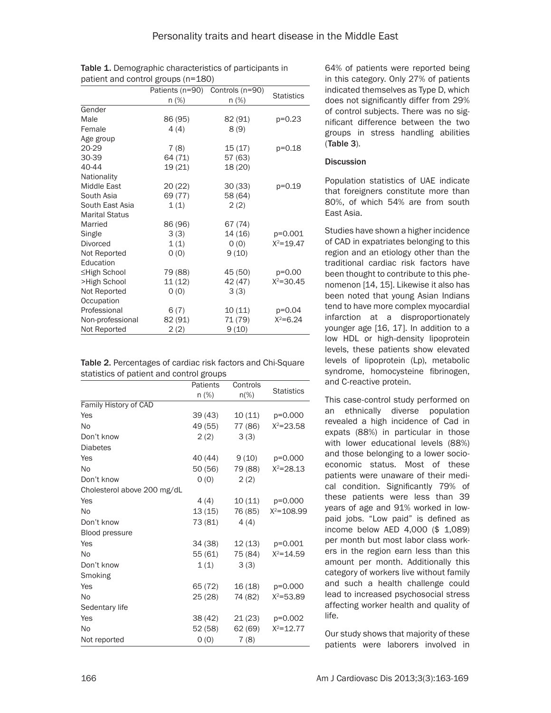|                       | Patients (n=90) | Controls (n=90) |                   |
|-----------------------|-----------------|-----------------|-------------------|
|                       | $n$ (%)         | n (%)           | <b>Statistics</b> |
| Gender                |                 |                 |                   |
| Male                  | 86 (95)         | 82 (91)         | $p=0.23$          |
| Female                | 4(4)            | 8(9)            |                   |
| Age group             |                 |                 |                   |
| 20-29                 | 7(8)            | 15(17)          | p=0.18            |
| 30-39                 | 64 (71)         | 57 (63)         |                   |
| 40-44                 | 19 (21)         | 18 (20)         |                   |
| Nationality           |                 |                 |                   |
| Middle East           | 20(22)          | 30(33)          | p=0.19            |
| South Asia            | 69 (77)         | 58 (64)         |                   |
| South East Asia       | 1(1)            | 2(2)            |                   |
| <b>Marital Status</b> |                 |                 |                   |
| Married               | 86 (96)         | 67 (74)         |                   |
| Single                | 3(3)            | 14 (16)         | p=0.001           |
| <b>Divorced</b>       | 1(1)            | O(0)            | $X^2 = 19.47$     |
| Not Reported          | 0(0)            | 9(10)           |                   |
| Education             |                 |                 |                   |
| ≤High School          | 79 (88)         | 45 (50)         | $p=0.00$          |
| >High School          | 11(12)          | 42 (47)         | $X^2 = 30.45$     |
| Not Reported          | O(0)            | 3(3)            |                   |
| Occupation            |                 |                 |                   |
| Professional          | 6(7)            | 10 (11)         | $p=0.04$          |
| Non-professional      | 82 (91)         | 71 (79)         | $X^2 = 6.24$      |
| Not Reported          | 2(2)            | 9(10)           |                   |

Table 1. Demographic characteristics of participants in patient and control groups (n=180)

| Table 2. Percentages of cardiac risk factors and Chi-Square |
|-------------------------------------------------------------|
| statistics of patient and control groups                    |

|                             | Patients | Controls |                   |
|-----------------------------|----------|----------|-------------------|
|                             | n (%)    | $n$ (%)  | <b>Statistics</b> |
| Family History of CAD       |          |          |                   |
| Yes                         | 39 (43)  | 10 (11)  | p=0.000           |
| N <sub>o</sub>              | 49 (55)  | 77 (86)  | $X^2 = 23.58$     |
| Don't know                  | 2(2)     | 3(3)     |                   |
| <b>Diabetes</b>             |          |          |                   |
| Yes                         | 40 (44)  | 9(10)    | p=0.000           |
| N <sub>o</sub>              | 50 (56)  | 79 (88)  | $X^2 = 28.13$     |
| Don't know                  | 0(0)     | 2(2)     |                   |
| Cholesterol above 200 mg/dL |          |          |                   |
| Yes                         | 4 (4)    | 10 (11)  | p=0.000           |
| N <sub>o</sub>              | 13 (15)  | 76 (85)  | $X^2 = 108.99$    |
| Don't know                  | 73 (81)  | 4(4)     |                   |
| <b>Blood pressure</b>       |          |          |                   |
| Yes                         | 34 (38)  | 12 (13)  | p=0.001           |
| N <sub>o</sub>              | 55 (61)  | 75 (84)  | $X^2 = 14.59$     |
| Don't know                  | 1(1)     | 3(3)     |                   |
| Smoking                     |          |          |                   |
| Yes                         | 65 (72)  | 16 (18)  | p=0.000           |
| <b>No</b>                   | 25 (28)  | 74 (82)  | $X^2 = 53.89$     |
| Sedentary life              |          |          |                   |
| Yes                         | 38 (42)  | 21 (23)  | $p=0.002$         |
| N <sub>0</sub>              | 52 (58)  | 62(69)   | $X^2 = 12.77$     |
| Not reported                | O(0)     | 7(8)     |                   |

64% of patients were reported being in this category. Only 27% of patients indicated themselves as Type D, which does not significantly differ from 29% of control subjects. There was no significant difference between the two groups in stress handling abilities (Table 3).

#### **Discussion**

Population statistics of UAE indicate that foreigners constitute more than 80%, of which 54% are from south East Asia.

Studies have shown a higher incidence of CAD in expatriates belonging to this region and an etiology other than the traditional cardiac risk factors have been thought to contribute to this phenomenon [14, 15]. Likewise it also has been noted that young Asian Indians tend to have more complex myocardial infarction at a disproportionately younger age [16, 17]. In addition to a low HDL or high-density lipoprotein levels, these patients show elevated levels of lipoprotein (Lp), metabolic syndrome, homocysteine fibrinogen, and C-reactive protein.

This case-control study performed on an ethnically diverse population revealed a high incidence of Cad in expats (88%) in particular in those with lower educational levels (88%) and those belonging to a lower socioeconomic status. Most of these patients were unaware of their medical condition. Significantly 79% of these patients were less than 39 years of age and 91% worked in lowpaid jobs. "Low paid" is defined as income below AED 4,000 (\$ 1,089) per month but most labor class workers in the region earn less than this amount per month. Additionally this category of workers live without family and such a health challenge could lead to increased psychosocial stress affecting worker health and quality of life.

Our study shows that majority of these patients were laborers involved in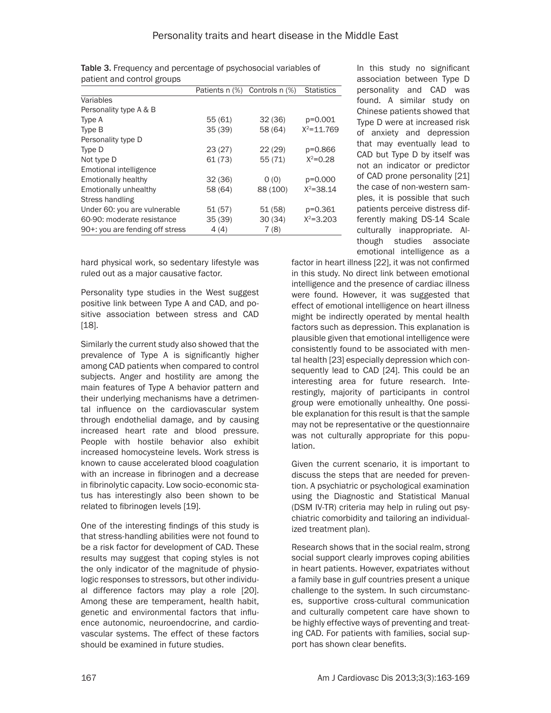|                                 | Patients n (%) | Controls n (%) | <b>Statistics</b> |
|---------------------------------|----------------|----------------|-------------------|
| Variables                       |                |                |                   |
| Personality type A & B          |                |                |                   |
| Type A                          | 55(61)         | 32(36)         | p=0.001           |
| Type B                          | 35(39)         | 58 (64)        | $X^2 = 11.769$    |
| Personality type D              |                |                |                   |
| Type D                          | 23(27)         | 22(29)         | p=0.866           |
| Not type D                      | 61 (73)        | 55 (71)        | $X^2 = 0.28$      |
| Emotional intelligence          |                |                |                   |
| <b>Emotionally healthy</b>      | 32(36)         | O(0)           | p=0.000           |
| Emotionally unhealthy           | 58 (64)        | 88 (100)       | $X^2 = 38.14$     |
| Stress handling                 |                |                |                   |
| Under 60: you are vulnerable    | 51(57)         | 51(58)         | p=0.361           |
| 60-90: moderate resistance      | 35(39)         | 30(34)         | $X^2 = 3.203$     |
| 90+: you are fending off stress | 4(4)           | 7(8)           |                   |

Table 3. Frequency and percentage of psychosocial variables of patient and control groups

hard physical work, so sedentary lifestyle was ruled out as a major causative factor.

Personality type studies in the West suggest positive link between Type A and CAD, and positive association between stress and CAD [18].

Similarly the current study also showed that the prevalence of Type A is significantly higher among CAD patients when compared to control subjects. Anger and hostility are among the main features of Type A behavior pattern and their underlying mechanisms have a detrimental influence on the cardiovascular system through endothelial damage, and by causing increased heart rate and blood pressure. People with hostile behavior also exhibit increased homocysteine levels. Work stress is known to cause accelerated blood coagulation with an increase in fibrinogen and a decrease in fibrinolytic capacity. Low socio-economic status has interestingly also been shown to be related to fibrinogen levels [19].

One of the interesting findings of this study is that stress-handling abilities were not found to be a risk factor for development of CAD. These results may suggest that coping styles is not the only indicator of the magnitude of physiologic responses to stressors, but other individual difference factors may play a role [20]. Among these are temperament, health habit, genetic and environmental factors that influence autonomic, neuroendocrine, and cardiovascular systems. The effect of these factors should be examined in future studies.

In this study no significant association between Type D personality and CAD was found. A similar study on Chinese patients showed that Type D were at increased risk of anxiety and depression that may eventually lead to CAD but Type D by itself was not an indicator or predictor of CAD prone personality [21] the case of non-western samples, it is possible that such patients perceive distress differently making DS-14 Scale culturally inappropriate. Although studies associate emotional intelligence as a

factor in heart illness [22], it was not confirmed in this study. No direct link between emotional intelligence and the presence of cardiac illness were found. However, it was suggested that effect of emotional intelligence on heart illness might be indirectly operated by mental health factors such as depression. This explanation is plausible given that emotional intelligence were consistently found to be associated with mental health [23] especially depression which consequently lead to CAD [24]. This could be an interesting area for future research. Interestingly, majority of participants in control group were emotionally unhealthy. One possible explanation for this result is that the sample may not be representative or the questionnaire was not culturally appropriate for this population.

Given the current scenario, it is important to discuss the steps that are needed for prevention. A psychiatric or psychological examination using the Diagnostic and Statistical Manual (DSM IV-TR) criteria may help in ruling out psychiatric comorbidity and tailoring an individualized treatment plan).

Research shows that in the social realm, strong social support clearly improves coping abilities in heart patients. However, expatriates without a family base in gulf countries present a unique challenge to the system. In such circumstances, supportive cross-cultural communication and culturally competent care have shown to be highly effective ways of preventing and treating CAD. For patients with families, social support has shown clear benefits.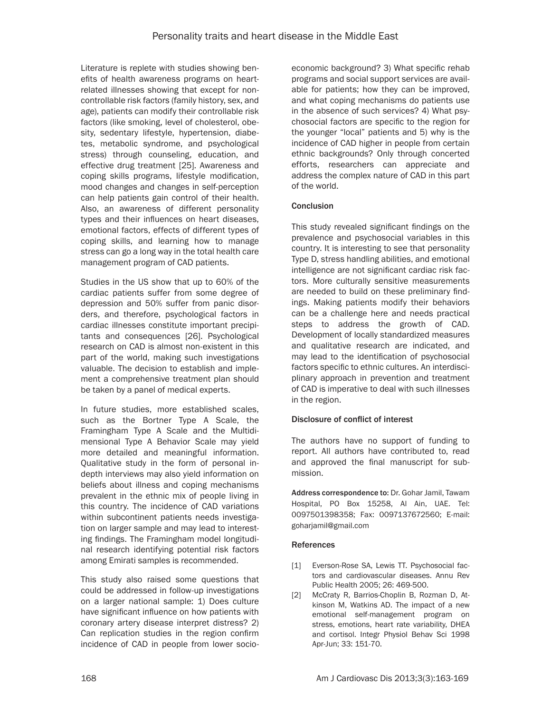Literature is replete with studies showing benefits of health awareness programs on heartrelated illnesses showing that except for noncontrollable risk factors (family history, sex, and age), patients can modify their controllable risk factors (like smoking, level of cholesterol, obesity, sedentary lifestyle, hypertension, diabetes, metabolic syndrome, and psychological stress) through counseling, education, and effective drug treatment [25]. Awareness and coping skills programs, lifestyle modification, mood changes and changes in self-perception can help patients gain control of their health. Also, an awareness of different personality types and their influences on heart diseases, emotional factors, effects of different types of coping skills, and learning how to manage stress can go a long way in the total health care management program of CAD patients.

Studies in the US show that up to 60% of the cardiac patients suffer from some degree of depression and 50% suffer from panic disorders, and therefore, psychological factors in cardiac illnesses constitute important precipitants and consequences [26]. Psychological research on CAD is almost non-existent in this part of the world, making such investigations valuable. The decision to establish and implement a comprehensive treatment plan should be taken by a panel of medical experts.

In future studies, more established scales, such as the Bortner Type A Scale, the Framingham Type A Scale and the Multidimensional Type A Behavior Scale may yield more detailed and meaningful information. Qualitative study in the form of personal indepth interviews may also yield information on beliefs about illness and coping mechanisms prevalent in the ethnic mix of people living in this country. The incidence of CAD variations within subcontinent patients needs investigation on larger sample and may lead to interesting findings. The Framingham model longitudinal research identifying potential risk factors among Emirati samples is recommended.

This study also raised some questions that could be addressed in follow-up investigations on a larger national sample: 1) Does culture have significant influence on how patients with coronary artery disease interpret distress? 2) Can replication studies in the region confirm incidence of CAD in people from lower socioeconomic background? 3) What specific rehab programs and social support services are available for patients; how they can be improved, and what coping mechanisms do patients use in the absence of such services? 4) What psychosocial factors are specific to the region for the younger "local" patients and 5) why is the incidence of CAD higher in people from certain ethnic backgrounds? Only through concerted efforts, researchers can appreciate and address the complex nature of CAD in this part of the world.

# **Conclusion**

This study revealed significant findings on the prevalence and psychosocial variables in this country. It is interesting to see that personality Type D, stress handling abilities, and emotional intelligence are not significant cardiac risk factors. More culturally sensitive measurements are needed to build on these preliminary findings. Making patients modify their behaviors can be a challenge here and needs practical steps to address the growth of CAD. Development of locally standardized measures and qualitative research are indicated, and may lead to the identification of psychosocial factors specific to ethnic cultures. An interdisciplinary approach in prevention and treatment of CAD is imperative to deal with such illnesses in the region.

# Disclosure of conflict of interest

The authors have no support of funding to report. All authors have contributed to, read and approved the final manuscript for submission.

Address correspondence to: Dr. Gohar Jamil, Tawam Hospital, PO Box 15258, Al Ain, UAE. Tel: 0097501398358; Fax: 0097137672560; E-mail: [goharjamil@gmail.com](mailto:goharjamil@gmail.com)

#### References

- [1] Everson-Rose SA, Lewis TT. Psychosocial factors and cardiovascular diseases. Annu Rev Public Health 2005; 26: 469-500.
- [2] McCraty R, Barrios-Choplin B, Rozman D, Atkinson M, Watkins AD. The impact of a new emotional self-management program on stress, emotions, heart rate variability, DHEA and cortisol. Integr Physiol Behav Sci 1998 Apr-Jun; 33: 151-70.